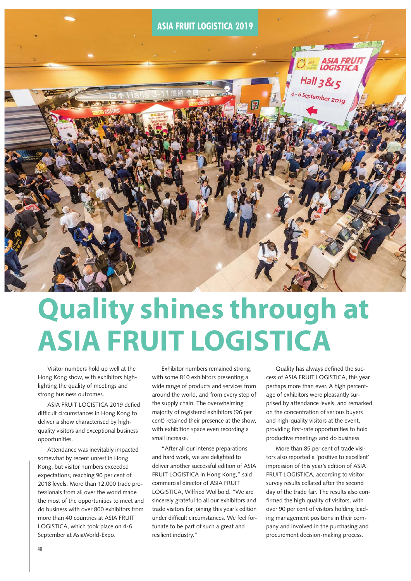

# **Quality shines through at** Visitor numbers hold up well at the<br>Hong Kong show, with exhibitors high-<br>Hong Kong show, with exhibitors high-<br>With some 810 exhibitors presenting a cess of ASIA FRUIT LOGI

Visitor numbers hold up well at the Hong Kong show, with exhibitors highlighting the quality of meetings and strong business outcomes.

ASIA FRUIT LOGISTICA 2019 defied difficult circumstances in Hong Kong to deliver a show characterised by highquality visitors and exceptional business opportunities.

Attendance was inevitably impacted somewhat by recent unrest in Hong Kong, but visitor numbers exceeded expectations, reaching 90 per cent of 2018 levels. More than 12,000 trade professionals from all over the world made the most of the opportunities to meet and do business with over 800 exhibitors from more than 40 countries at ASIA FRUIT LOGISTICA, which took place on 4-6 September at AsiaWorld-Expo.

Exhibitor numbers remained strong, with some 810 exhibitors presenting a wide range of products and services from around the world, and from every step of the supply chain. The overwhelming majority of registered exhibitors (96 per cent) retained their presence at the show, with exhibition space even recording a small increase.

"After all our intense preparations and hard work, we are delighted to deliver another successful edition of ASIA FRUIT LOGISTICA in Hong Kong," said commercial director of ASIA FRUIT LOGISTICA, Wilfried Wollbold. "We are sincerely grateful to all our exhibitors and trade visitors for joining this year's edition under difficult circumstances. We feel fortunate to be part of such a great and resilient industry."

Quality has always defined the success of ASIA FRUIT LOGISTICA, this year perhaps more than ever. A high percentage of exhibitors were pleasantly surprised by attendance levels, and remarked on the concentration of serious buyers and high-quality visitors at the event, providing first-rate opportunities to hold productive meetings and do business.

More than 85 per cent of trade visitors also reported a 'positive to excellent' impression of this year's edition of ASIA FRUIT LOGISTICA, according to visitor survey results collated after the second day of the trade fair. The results also confirmed the high quality of visitors, with over 90 per cent of visitors holding leading management positions in their company and involved in the purchasing and procurement decision-making process.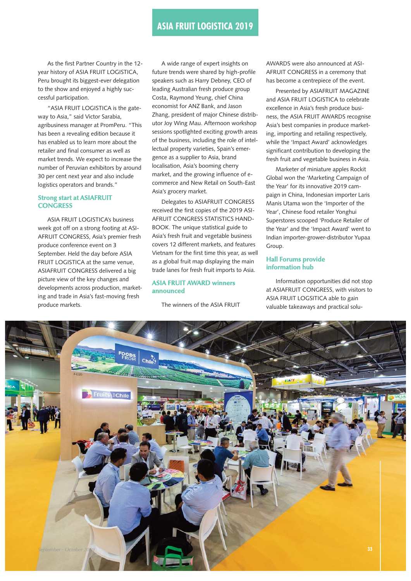As the first Partner Country in the 12 year history of ASIA FRUIT LOGISTICA, Peru brought its biggest-ever delegation to the show and enjoyed a highly successful participation.

"ASIA FRUIT LOGISTICA is the gateway to Asia," said Victor Sarabia, agribusiness manager at PromPeru. "This has been a revealing edition because it has enabled us to learn more about the retailer and final consumer as well as market trends. We expect to increase the number of Peruvian exhibitors by around 30 per cent next year and also include logistics operators and brands."

## **Strong start at ASIAFRUIT CONGRESS**

ASIA FRUIT LOGISTICA's business week got off on a strong footing at ASI-AFRUIT CONGRESS, Asia's premier fresh produce conference event on 3 September. Held the day before ASIA FRUIT LOGISTICA at the same venue, ASIAFRUIT CONGRESS delivered a big picture view of the key changes and developments across production, marketing and trade in Asia's fast-moving fresh produce markets.

A wide range of expert insights on future trends were shared by high-profile speakers such as Harry Debney, CEO of leading Australian fresh produce group Costa, Raymond Yeung, chief China economist for ANZ Bank, and Jason Zhang, president of major Chinese distributor Joy Wing Mau. Afternoon workshop sessions spotlighted exciting growth areas of the business, including the role of intellectual property varieties, Spain's emergence as a supplier to Asia, brand localisation, Asia's booming cherry market, and the growing influence of ecommerce and New Retail on South-East Asia's grocery market.

Delegates to ASIAFRUIT CONGRESS received the first copies of the 2019 ASI-AFRUIT CONGRESS STATISTICS HAND-BOOK. The unique statistical guide to Asia's fresh fruit and vegetable business covers 12 different markets, and features Vietnam for the first time this year, as well as a global fruit map displaying the main trade lanes for fresh fruit imports to Asia.

## **ASIA FRUIT AWARD winners announced**

The winners of the ASIA FRUIT

AWARDS were also announced at ASI-AFRUIT CONGRESS in a ceremony that has become a centrepiece of the event.

Presented by ASIAFRUIT MAGAZINE and ASIA FRUIT LOGISTICA to celebrate excellence in Asia's fresh produce business, the ASIA FRUIT AWARDS recognise Asia's best companies in produce marketing, importing and retailing respectively, while the 'Impact Award' acknowledges significant contribution to developing the fresh fruit and vegetable business in Asia.

Marketer of miniature apples Rockit Global won the 'Marketing Campaign of the Year' for its innovative 2019 campaign in China, Indonesian importer Laris Manis Utama won the 'Importer of the Year', Chinese food retailer Yonghui Superstores scooped 'Produce Retailer of the Year' and the 'Impact Award' went to Indian importer-grower-distributor Yupaa Group.

## **Hall Forums provide information hub**

Information opportunities did not stop at ASIAFRUIT CONGRESS, with visitors to ASIA FRUIT LOGSITICA able to gain valuable takeaways and practical solu-

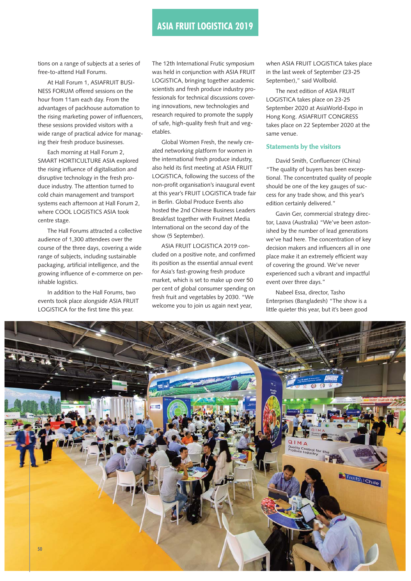# **ASIA FRUIT LOGISTICA 2019**

tions on a range of subjects at a series of free-to-attend Hall Forums.

At Hall Forum 1, ASIAFRUIT BUSI-NESS FORUM offered sessions on the hour from 11am each day. From the advantages of packhouse automation to the rising marketing power of influencers, these sessions provided visitors with a wide range of practical advice for managing their fresh produce businesses.

Each morning at Hall Forum 2, SMART HORTICULTURE ASIA explored the rising influence of digitalisation and disruptive technology in the fresh produce industry. The attention turned to cold chain management and transport systems each afternoon at Hall Forum 2, where COOL LOGISTICS ASIA took centre stage.

The Hall Forums attracted a collective audience of 1,300 attendees over the course of the three days, covering a wide range of subjects, including sustainable packaging, artificial intelligence, and the growing influence of e-commerce on perishable logistics.

In addition to the Hall Forums, two events took place alongside ASIA FRUIT LOGISTICA for the first time this year.

The 12th International Frutic symposium was held in conjunction with ASIA FRUIT LOGISTICA, bringing together academic scientists and fresh produce industry professionals for technical discussions covering innovations, new technologies and research required to promote the supply of safe, high-quality fresh fruit and vegetables.

Global Women Fresh, the newly created networking platform for women in the international fresh produce industry, also held its first meeting at ASIA FRUIT LOGISTICA, following the success of the non-profit organisation's inaugural event at this year's FRUIT LOGISTICA trade fair in Berlin. Global Produce Events also hosted the 2nd Chinese Business Leaders Breakfast together with Fruitnet Media International on the second day of the show (5 September).

ASIA FRUIT LOGISTICA 2019 concluded on a positive note, and confirmed its position as the essential annual event for Asia's fast-growing fresh produce market, which is set to make up over 50 per cent of global consumer spending on fresh fruit and vegetables by 2030. "We welcome you to join us again next year,

when ASIA FRUIT LOGISTICA takes place in the last week of September (23-25 September)," said Wollbold.

The next edition of ASIA FRUIT LOGISTICA takes place on 23-25 September 2020 at AsiaWorld-Expo in Hong Kong. ASIAFRUIT CONGRESS takes place on 22 September 2020 at the same venue.

## **Statements by the visitors**

David Smith, Confluencer (China) "The quality of buyers has been exceptional. The concentrated quality of people should be one of the key gauges of success for any trade show, and this year's edition certainly delivered."

Gavin Ger, commercial strategy director, Laava (Australia) "We've been astonished by the number of lead generations we've had here. The concentration of key decision makers and influencers all in one place make it an extremely efficient way of covering the ground. We've never experienced such a vibrant and impactful event over three days."

Nabeel Essa, director, Tasho Enterprises (Bangladesh) "The show is a little quieter this year, but it's been good